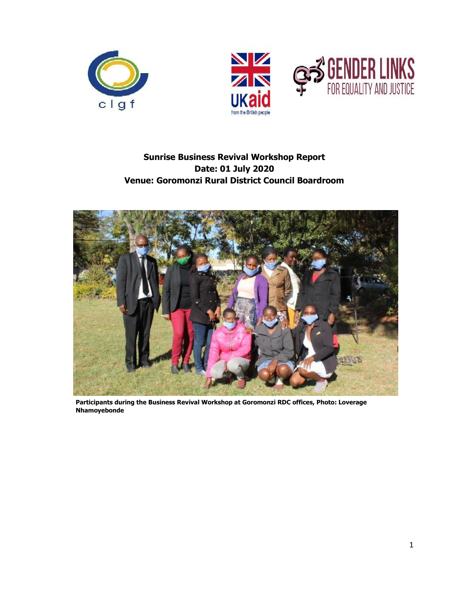



# **Sunrise Business Revival Workshop Report Date: 01 July 2020 Venue: Goromonzi Rural District Council Boardroom**



**Participants during the Business Revival Workshop at Goromonzi RDC offices, Photo: Loverage Nhamoyebonde**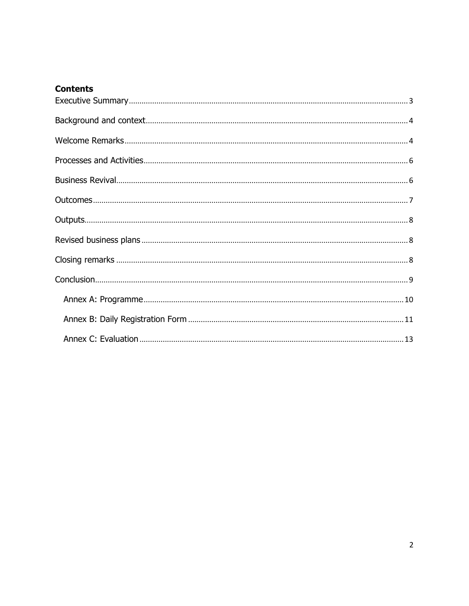## **Contents**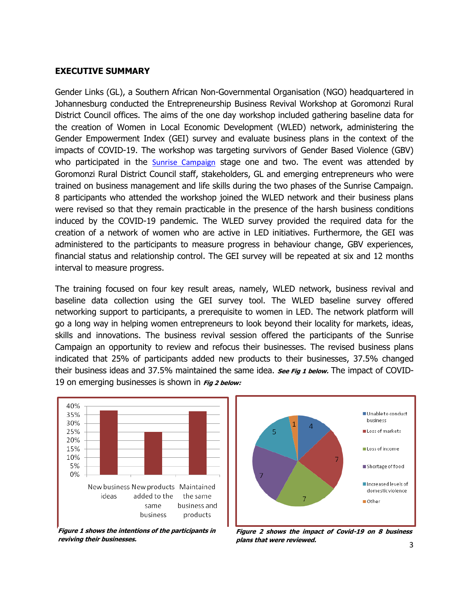#### <span id="page-2-0"></span>**EXECUTIVE SUMMARY**

Gender Links (GL), a Southern African Non-Governmental Organisation (NGO) headquartered in Johannesburg conducted the Entrepreneurship Business Revival Workshop at Goromonzi Rural District Council offices. The aims of the one day workshop included gathering baseline data for the creation of Women in Local Economic Development (WLED) network, administering the Gender Empowerment Index (GEI) survey and evaluate business plans in the context of the impacts of COVID-19. The workshop was targeting survivors of Gender Based Violence (GBV) who participated in the [Sunrise Campaign](https://genderlinks.org.za/what-we-do/justice/advocacy/the-sunrise-campaign/) stage one and two. The event was attended by Goromonzi Rural District Council staff, stakeholders, GL and emerging entrepreneurs who were trained on business management and life skills during the two phases of the Sunrise Campaign. 8 participants who attended the workshop joined the WLED network and their business plans were revised so that they remain practicable in the presence of the harsh business conditions induced by the COVID-19 pandemic. The WLED survey provided the required data for the creation of a network of women who are active in LED initiatives. Furthermore, the GEI was administered to the participants to measure progress in behaviour change, GBV experiences, financial status and relationship control. The GEI survey will be repeated at six and 12 months interval to measure progress.

The training focused on four key result areas, namely, WLED network, business revival and baseline data collection using the GEI survey tool. The WLED baseline survey offered networking support to participants, a prerequisite to women in LED. The network platform will go a long way in helping women entrepreneurs to look beyond their locality for markets, ideas, skills and innovations. The business revival session offered the participants of the Sunrise Campaign an opportunity to review and refocus their businesses. The revised business plans indicated that 25% of participants added new products to their businesses, 37.5% changed their business ideas and 37.5% maintained the same idea. **See Fig 1 below.** The impact of COVID-19 on emerging businesses is shown in **Fig 2 below:**



**Figure 1 shows the intentions of the participants in reviving their businesses.**



**Figure 2 shows the impact of Covid-19 on 8 business plans that were reviewed.**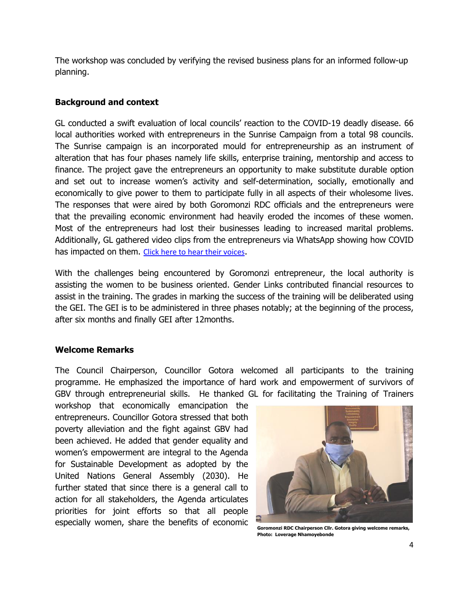The workshop was concluded by verifying the revised business plans for an informed follow-up planning.

#### <span id="page-3-0"></span>**Background and context**

GL conducted a swift evaluation of local councils' reaction to the COVID-19 deadly disease. 66 local authorities worked with entrepreneurs in the Sunrise Campaign from a total 98 councils. The Sunrise campaign is an incorporated mould for entrepreneurship as an instrument of alteration that has four phases namely life skills, enterprise training, mentorship and access to finance. The project gave the entrepreneurs an opportunity to make substitute durable option and set out to increase women's activity and self-determination, socially, emotionally and economically to give power to them to participate fully in all aspects of their wholesome lives. The responses that were aired by both Goromonzi RDC officials and the entrepreneurs were that the prevailing economic environment had heavily eroded the incomes of these women. Most of the entrepreneurs had lost their businesses leading to increased marital problems. Additionally, GL gathered video clips from the entrepreneurs via WhatsApp showing how COVID has impacted on them. [Click here to hear their voices](https://genderlinks.org.za/what-we-do/justice/entrepreneurship/struggling-under-lockdown/).

With the challenges being encountered by Goromonzi entrepreneur, the local authority is assisting the women to be business oriented. Gender Links contributed financial resources to assist in the training. The grades in marking the success of the training will be deliberated using the GEI. The GEI is to be administered in three phases notably; at the beginning of the process, after six months and finally GEI after 12months.

### <span id="page-3-1"></span>**Welcome Remarks**

The Council Chairperson, Councillor Gotora welcomed all participants to the training programme. He emphasized the importance of hard work and empowerment of survivors of GBV through entrepreneurial skills. He thanked GL for facilitating the Training of Trainers

workshop that economically emancipation the entrepreneurs. Councillor Gotora stressed that both poverty alleviation and the fight against GBV had been achieved. He added that gender equality and women's empowerment are integral to the Agenda for Sustainable Development as adopted by the United Nations General Assembly (2030). He further stated that since there is a general call to action for all stakeholders, the Agenda articulates priorities for joint efforts so that all people especially women, share the benefits of economic



**Goromonzi RDC Chairperson Cllr. Gotora giving welcome remarks, Photo: Loverage Nhamoyebonde**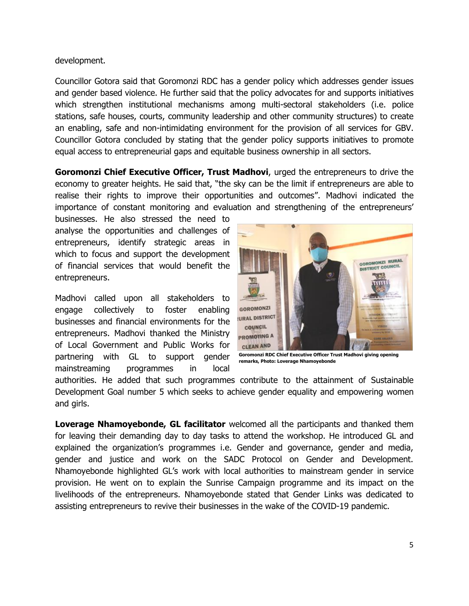development.

Councillor Gotora said that Goromonzi RDC has a gender policy which addresses gender issues and gender based violence. He further said that the policy advocates for and supports initiatives which strengthen institutional mechanisms among multi-sectoral stakeholders (i.e. police stations, safe houses, courts, community leadership and other community structures) to create an enabling, safe and non-intimidating environment for the provision of all services for GBV. Councillor Gotora concluded by stating that the gender policy supports initiatives to promote equal access to entrepreneurial gaps and equitable business ownership in all sectors.

**Goromonzi Chief Executive Officer, Trust Madhovi**, urged the entrepreneurs to drive the economy to greater heights. He said that, "the sky can be the limit if entrepreneurs are able to realise their rights to improve their opportunities and outcomes". Madhovi indicated the importance of constant monitoring and evaluation and strengthening of the entrepreneurs'

businesses. He also stressed the need to analyse the opportunities and challenges of entrepreneurs, identify strategic areas in which to focus and support the development of financial services that would benefit the entrepreneurs.

Madhovi called upon all stakeholders to engage collectively to foster enabling businesses and financial environments for the entrepreneurs. Madhovi thanked the Ministry of Local Government and Public Works for partnering with GL to support gender mainstreaming programmes in local



**Goromonzi RDC Chief Executive Officer Trust Madhovi giving opening remarks, Photo: Loverage Nhamoyebonde**

authorities. He added that such programmes contribute to the attainment of Sustainable Development Goal number 5 which seeks to achieve gender equality and empowering women and girls.

**Loverage Nhamoyebonde, GL facilitator** welcomed all the participants and thanked them for leaving their demanding day to day tasks to attend the workshop. He introduced GL and explained the organization's programmes i.e. Gender and governance, gender and media, gender and justice and work on the SADC Protocol on Gender and Development. Nhamoyebonde highlighted GL's work with local authorities to mainstream gender in service provision. He went on to explain the Sunrise Campaign programme and its impact on the livelihoods of the entrepreneurs. Nhamoyebonde stated that Gender Links was dedicated to assisting entrepreneurs to revive their businesses in the wake of the COVID-19 pandemic.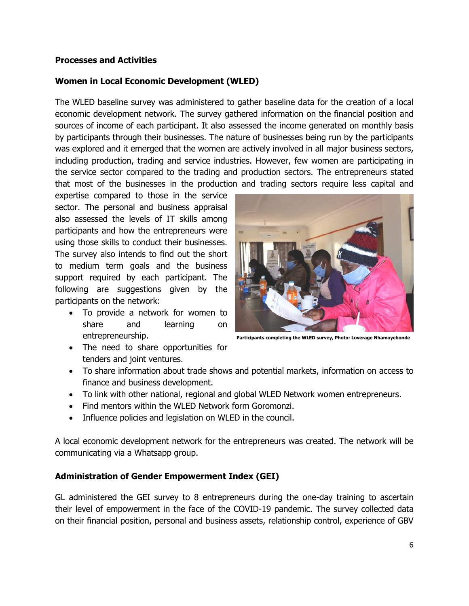#### <span id="page-5-0"></span>**Processes and Activities**

### **Women in Local Economic Development (WLED)**

The WLED baseline survey was administered to gather baseline data for the creation of a local economic development network. The survey gathered information on the financial position and sources of income of each participant. It also assessed the income generated on monthly basis by participants through their businesses. The nature of businesses being run by the participants was explored and it emerged that the women are actively involved in all major business sectors, including production, trading and service industries. However, few women are participating in the service sector compared to the trading and production sectors. The entrepreneurs stated that most of the businesses in the production and trading sectors require less capital and

expertise compared to those in the service sector. The personal and business appraisal also assessed the levels of IT skills among participants and how the entrepreneurs were using those skills to conduct their businesses. The survey also intends to find out the short to medium term goals and the business support required by each participant. The following are suggestions given by the participants on the network:

- To provide a network for women to share and learning on entrepreneurship.
- 

**Participants completing the WLED survey, Photo: Loverage Nhamoyebonde**

- The need to share opportunities for tenders and joint ventures.
- To share information about trade shows and potential markets, information on access to finance and business development.
- To link with other national, regional and global WLED Network women entrepreneurs.
- Find mentors within the WLED Network form Goromonzi.
- Influence policies and legislation on WLED in the council.

A local economic development network for the entrepreneurs was created. The network will be communicating via a Whatsapp group.

### **Administration of Gender Empowerment Index (GEI)**

<span id="page-5-1"></span>GL administered the GEI survey to 8 entrepreneurs during the one-day training to ascertain their level of empowerment in the face of the COVID-19 pandemic. The survey collected data on their financial position, personal and business assets, relationship control, experience of GBV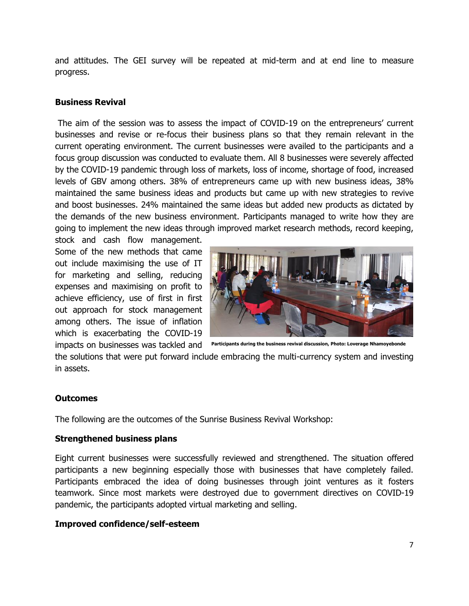and attitudes. The GEI survey will be repeated at mid-term and at end line to measure progress.

#### **Business Revival**

The aim of the session was to assess the impact of COVID-19 on the entrepreneurs' current businesses and revise or re-focus their business plans so that they remain relevant in the current operating environment. The current businesses were availed to the participants and a focus group discussion was conducted to evaluate them. All 8 businesses were severely affected by the COVID-19 pandemic through loss of markets, loss of income, shortage of food, increased levels of GBV among others. 38% of entrepreneurs came up with new business ideas, 38% maintained the same business ideas and products but came up with new strategies to revive and boost businesses. 24% maintained the same ideas but added new products as dictated by the demands of the new business environment. Participants managed to write how they are going to implement the new ideas through improved market research methods, record keeping,

stock and cash flow management. Some of the new methods that came out include maximising the use of IT for marketing and selling, reducing expenses and maximising on profit to achieve efficiency, use of first in first out approach for stock management among others. The issue of inflation which is exacerbating the COVID-19 impacts on businesses was tackled and



**Participants during the business revival discussion, Photo: Loverage Nhamoyebonde** 

the solutions that were put forward include embracing the multi-currency system and investing in assets.

#### <span id="page-6-0"></span>**Outcomes**

The following are the outcomes of the Sunrise Business Revival Workshop:

#### **Strengthened business plans**

Eight current businesses were successfully reviewed and strengthened. The situation offered participants a new beginning especially those with businesses that have completely failed. Participants embraced the idea of doing businesses through joint ventures as it fosters teamwork. Since most markets were destroyed due to government directives on COVID-19 pandemic, the participants adopted virtual marketing and selling.

#### **Improved confidence/self-esteem**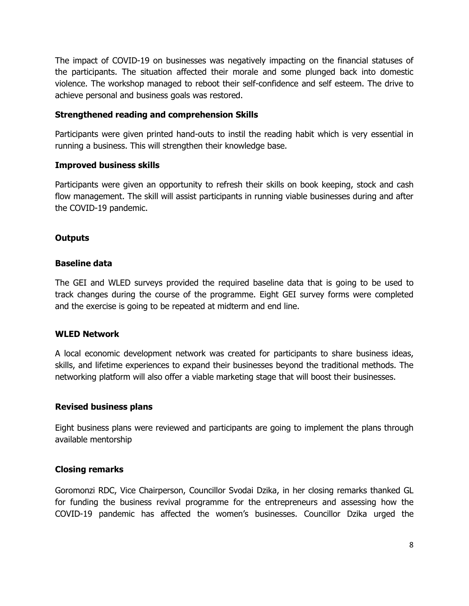The impact of COVID-19 on businesses was negatively impacting on the financial statuses of the participants. The situation affected their morale and some plunged back into domestic violence. The workshop managed to reboot their self-confidence and self esteem. The drive to achieve personal and business goals was restored.

#### **Strengthened reading and comprehension Skills**

Participants were given printed hand-outs to instil the reading habit which is very essential in running a business. This will strengthen their knowledge base.

#### **Improved business skills**

Participants were given an opportunity to refresh their skills on book keeping, stock and cash flow management. The skill will assist participants in running viable businesses during and after the COVID-19 pandemic.

#### <span id="page-7-0"></span>**Outputs**

#### **Baseline data**

The GEI and WLED surveys provided the required baseline data that is going to be used to track changes during the course of the programme. Eight GEI survey forms were completed and the exercise is going to be repeated at midterm and end line.

#### **WLED Network**

A local economic development network was created for participants to share business ideas, skills, and lifetime experiences to expand their businesses beyond the traditional methods. The networking platform will also offer a viable marketing stage that will boost their businesses.

#### <span id="page-7-1"></span>**Revised business plans**

Eight business plans were reviewed and participants are going to implement the plans through available mentorship

### <span id="page-7-2"></span>**Closing remarks**

Goromonzi RDC, Vice Chairperson, Councillor Svodai Dzika, in her closing remarks thanked GL for funding the business revival programme for the entrepreneurs and assessing how the COVID-19 pandemic has affected the women's businesses. Councillor Dzika urged the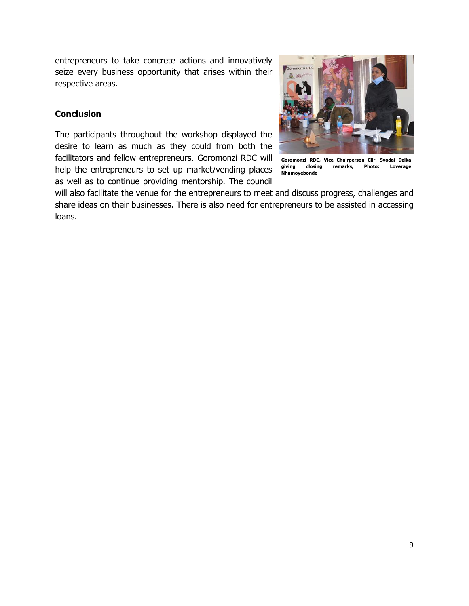entrepreneurs to take concrete actions and innovatively seize every business opportunity that arises within their respective areas.

### <span id="page-8-0"></span>**Conclusion**

The participants throughout the workshop displayed the desire to learn as much as they could from both the facilitators and fellow entrepreneurs. Goromonzi RDC will help the entrepreneurs to set up market/vending places as well as to continue providing mentorship. The council



**Goromonzi RDC, Vice Chairperson Cllr. Svodai Dzika giving closing remarks, Photo: Loverage Nhamoyebonde**

will also facilitate the venue for the entrepreneurs to meet and discuss progress, challenges and share ideas on their businesses. There is also need for entrepreneurs to be assisted in accessing loans.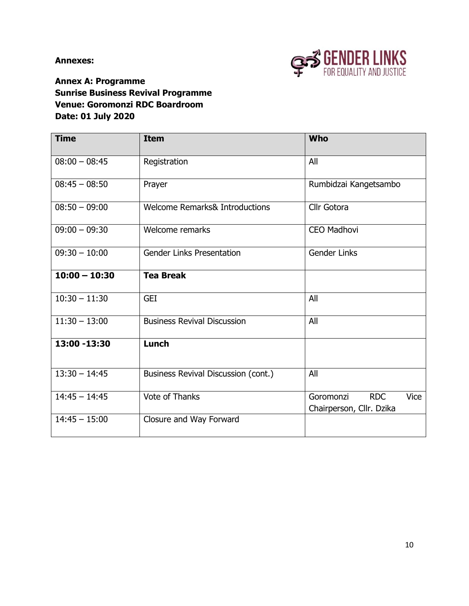**Annexes:** 



<span id="page-9-0"></span>**Annex A: Programme Sunrise Business Revival Programme Venue: Goromonzi RDC Boardroom Date: 01 July 2020**

| <b>Time</b>     | <b>Item</b>                               | <b>Who</b>                                                  |  |  |  |  |  |
|-----------------|-------------------------------------------|-------------------------------------------------------------|--|--|--|--|--|
| $08:00 - 08:45$ | Registration                              | All                                                         |  |  |  |  |  |
| $08:45 - 08:50$ | Prayer                                    | Rumbidzai Kangetsambo                                       |  |  |  |  |  |
| $08:50 - 09:00$ | <b>Welcome Remarks&amp; Introductions</b> | Cllr Gotora                                                 |  |  |  |  |  |
| $09:00 - 09:30$ | Welcome remarks                           | <b>CEO Madhovi</b>                                          |  |  |  |  |  |
| $09:30 - 10:00$ | <b>Gender Links Presentation</b>          | <b>Gender Links</b>                                         |  |  |  |  |  |
| $10:00 - 10:30$ | <b>Tea Break</b>                          |                                                             |  |  |  |  |  |
| $10:30 - 11:30$ | <b>GEI</b>                                | All                                                         |  |  |  |  |  |
| $11:30 - 13:00$ | <b>Business Revival Discussion</b>        | All                                                         |  |  |  |  |  |
| 13:00 -13:30    | Lunch                                     |                                                             |  |  |  |  |  |
| $13:30 - 14:45$ | Business Revival Discussion (cont.)       | All                                                         |  |  |  |  |  |
| $14:45 - 14:45$ | <b>Vote of Thanks</b>                     | <b>RDC</b><br>Vice<br>Goromonzi<br>Chairperson, Cllr. Dzika |  |  |  |  |  |
| $14:45 - 15:00$ | Closure and Way Forward                   |                                                             |  |  |  |  |  |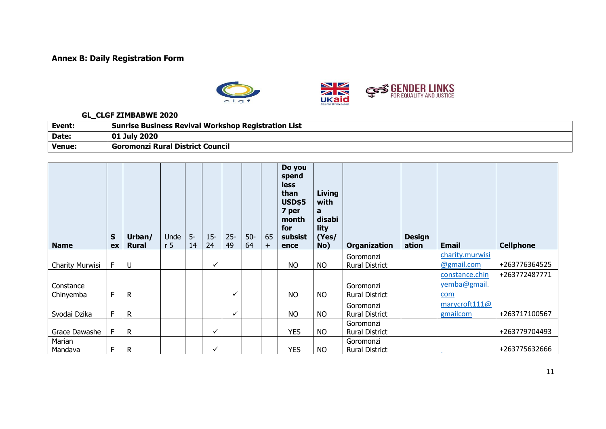# **Annex B: Daily Registration Form**



#### **GL\_CLGF ZIMBABWE 2020**

| Event: | <b>Sunrise Business Revival Workshop Registration List</b> |
|--------|------------------------------------------------------------|
| Date:  | 01 July 2020                                               |
| Venue: | <sup>'</sup> Goromonzi Rural District Council              |

<span id="page-10-0"></span>

| <b>Name</b>     | $\mathsf{s}$<br>ex | Urban/<br><b>Rural</b> | Unde<br>r <sub>5</sub> | $5-$<br>14 | $15 -$<br>24 | $25 -$<br>49 | $50-$<br>64 | 65<br>$+$ | Do you<br>spend<br><b>less</b><br>than<br><b>USD\$5</b><br>7 per<br>month<br>for<br>subsist<br>ence | Living<br>with<br>a<br>disabi<br>lity<br>(Yes/<br>No) | <b>Organization</b>   | <b>Design</b><br>ation | <b>Email</b>                  | <b>Cellphone</b> |
|-----------------|--------------------|------------------------|------------------------|------------|--------------|--------------|-------------|-----------|-----------------------------------------------------------------------------------------------------|-------------------------------------------------------|-----------------------|------------------------|-------------------------------|------------------|
|                 | F                  | U                      |                        |            | $\checkmark$ |              |             |           | <b>NO</b>                                                                                           | <b>NO</b>                                             | Goromonzi             |                        | charity.murwisi<br>@gmail.com | +263776364525    |
| Charity Murwisi |                    |                        |                        |            |              |              |             |           |                                                                                                     |                                                       | <b>Rural District</b> |                        | constance.chin                | +263772487771    |
| Constance       |                    |                        |                        |            |              |              |             |           |                                                                                                     |                                                       | Goromonzi             |                        | yemba@gmail.                  |                  |
| Chinyemba       | F                  | $\mathsf{R}$           |                        |            |              | ✓            |             |           | <b>NO</b>                                                                                           | <b>NO</b>                                             | <b>Rural District</b> |                        | com                           |                  |
|                 |                    |                        |                        |            |              |              |             |           |                                                                                                     |                                                       | Goromonzi             |                        | marycroft111@                 |                  |
| Svodai Dzika    | F                  | R                      |                        |            |              | $\checkmark$ |             |           | <b>NO</b>                                                                                           | <b>NO</b>                                             | <b>Rural District</b> |                        | gmailcom                      | +263717100567    |
|                 |                    |                        |                        |            |              |              |             |           |                                                                                                     |                                                       | Goromonzi             |                        |                               |                  |
| Grace Dawashe   | F                  | $\mathsf{R}$           |                        |            | $\checkmark$ |              |             |           | <b>YES</b>                                                                                          | <b>NO</b>                                             | <b>Rural District</b> |                        |                               | +263779704493    |
| Marian          |                    |                        |                        |            |              |              |             |           |                                                                                                     |                                                       | Goromonzi             |                        |                               |                  |
| Mandava         | F                  | R                      |                        |            | ✓            |              |             |           | <b>YES</b>                                                                                          | <b>NO</b>                                             | <b>Rural District</b> |                        |                               | +263775632666    |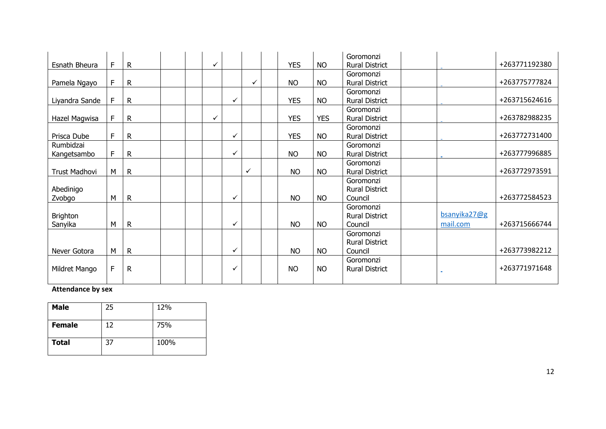|                      |    |              |  |   |   |              |            |            | Goromonzi             |              |               |
|----------------------|----|--------------|--|---|---|--------------|------------|------------|-----------------------|--------------|---------------|
| Esnath Bheura        | F. | $\mathsf{R}$ |  | ✓ |   |              | <b>YES</b> | <b>NO</b>  | <b>Rural District</b> |              | +263771192380 |
|                      |    |              |  |   |   |              |            |            | Goromonzi             |              |               |
| Pamela Ngayo         | F. | R            |  |   |   | ✓            | <b>NO</b>  | <b>NO</b>  | <b>Rural District</b> |              | +263775777824 |
|                      |    |              |  |   |   |              |            |            | Goromonzi             |              |               |
| Liyandra Sande       | F  | R            |  |   | ✓ |              | <b>YES</b> | <b>NO</b>  | <b>Rural District</b> |              | +263715624616 |
|                      |    |              |  |   |   |              |            |            | Goromonzi             |              |               |
| Hazel Magwisa        | F  | $\mathsf{R}$ |  | ✓ |   |              | <b>YES</b> | <b>YES</b> | <b>Rural District</b> |              | +263782988235 |
|                      |    |              |  |   |   |              |            |            | Goromonzi             |              |               |
| Prisca Dube          | F  | R            |  |   | ✓ |              | <b>YES</b> | <b>NO</b>  | <b>Rural District</b> |              | +263772731400 |
| Rumbidzai            |    |              |  |   |   |              |            |            | Goromonzi             |              |               |
| Kangetsambo          | F  | R            |  |   | ✓ |              | <b>NO</b>  | <b>NO</b>  | <b>Rural District</b> |              | +263777996885 |
|                      |    |              |  |   |   |              |            |            | Goromonzi             |              |               |
| <b>Trust Madhovi</b> | M  | R            |  |   |   | $\checkmark$ | <b>NO</b>  | <b>NO</b>  | <b>Rural District</b> |              | +263772973591 |
|                      |    |              |  |   |   |              |            |            | Goromonzi             |              |               |
| Abedinigo            |    |              |  |   |   |              |            |            | <b>Rural District</b> |              |               |
| Zvobgo               | М  | R            |  |   | ✓ |              | <b>NO</b>  | <b>NO</b>  | Council               |              | +263772584523 |
|                      |    |              |  |   |   |              |            |            | Goromonzi             |              |               |
| <b>Brighton</b>      |    |              |  |   |   |              |            |            | <b>Rural District</b> | bsanyika27@g |               |
| Sanyika              | М  | $\mathsf{R}$ |  |   | ✓ |              | <b>NO</b>  | <b>NO</b>  | Council               | mail.com     | +263715666744 |
|                      |    |              |  |   |   |              |            |            | Goromonzi             |              |               |
|                      |    |              |  |   |   |              |            |            | <b>Rural District</b> |              |               |
| Never Gotora         | M  | $\mathsf{R}$ |  |   | ✓ |              | <b>NO</b>  | <b>NO</b>  | Council               |              | +263773982212 |
|                      |    |              |  |   |   |              |            |            | Goromonzi             |              |               |
| Mildret Mango        | F  | R            |  |   | ✓ |              | <b>NO</b>  | <b>NO</b>  | <b>Rural District</b> |              | +263771971648 |
|                      |    |              |  |   |   |              |            |            |                       |              |               |
|                      |    |              |  |   |   |              |            |            |                       |              |               |

### **Attendance by sex**

| <b>Male</b>   | 25 | 12%  |
|---------------|----|------|
| <b>Female</b> | 12 | 75%  |
| <b>Total</b>  | 37 | 100% |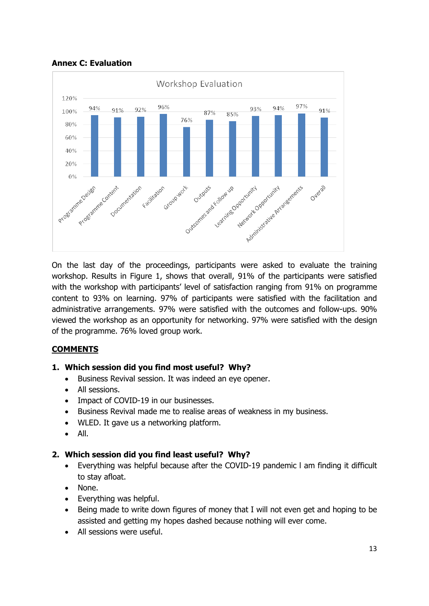

<span id="page-12-0"></span>**Annex C: Evaluation**

On the last day of the proceedings, participants were asked to evaluate the training workshop. Results in Figure 1, shows that overall, 91% of the participants were satisfied with the workshop with participants' level of satisfaction ranging from 91% on programme content to 93% on learning. 97% of participants were satisfied with the facilitation and administrative arrangements. 97% were satisfied with the outcomes and follow-ups. 90% viewed the workshop as an opportunity for networking. 97% were satisfied with the design of the programme. 76% loved group work.

# **COMMENTS**

### **1. Which session did you find most useful? Why?**

- Business Revival session. It was indeed an eye opener.
- All sessions.
- Impact of COVID-19 in our businesses.
- Business Revival made me to realise areas of weakness in my business.
- WLED. It gave us a networking platform.
- $\bullet$  All.

#### **2. Which session did you find least useful? Why?**

- Everything was helpful because after the COVID-19 pandemic l am finding it difficult to stay afloat.
- None.
- Everything was helpful.
- Being made to write down figures of money that I will not even get and hoping to be assisted and getting my hopes dashed because nothing will ever come.
- All sessions were useful.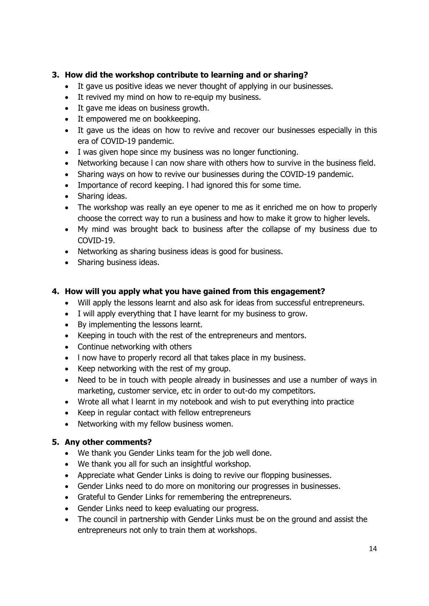# **3. How did the workshop contribute to learning and or sharing?**

- It gave us positive ideas we never thought of applying in our businesses.
- It revived my mind on how to re-equip my business.
- It gave me ideas on business growth.
- It empowered me on bookkeeping.
- It gave us the ideas on how to revive and recover our businesses especially in this era of COVID-19 pandemic.
- I was given hope since my business was no longer functioning.
- Networking because l can now share with others how to survive in the business field.
- Sharing ways on how to revive our businesses during the COVID-19 pandemic.
- Importance of record keeping. l had ignored this for some time.
- Sharing ideas.
- The workshop was really an eye opener to me as it enriched me on how to properly choose the correct way to run a business and how to make it grow to higher levels.
- My mind was brought back to business after the collapse of my business due to COVID-19.
- Networking as sharing business ideas is good for business.
- Sharing business ideas.

# **4. How will you apply what you have gained from this engagement?**

- Will apply the lessons learnt and also ask for ideas from successful entrepreneurs.
- I will apply everything that I have learnt for my business to grow.
- By implementing the lessons learnt.
- Keeping in touch with the rest of the entrepreneurs and mentors.
- Continue networking with others
- I now have to properly record all that takes place in my business.
- $\bullet$  Keep networking with the rest of my group.
- Need to be in touch with people already in businesses and use a number of ways in marketing, customer service, etc in order to out-do my competitors.
- Wrote all what l learnt in my notebook and wish to put everything into practice
- Keep in regular contact with fellow entrepreneurs
- Networking with my fellow business women.

# **5. Any other comments?**

- We thank you Gender Links team for the job well done.
- We thank you all for such an insightful workshop.
- Appreciate what Gender Links is doing to revive our flopping businesses.
- Gender Links need to do more on monitoring our progresses in businesses.
- Grateful to Gender Links for remembering the entrepreneurs.
- Gender Links need to keep evaluating our progress.
- The council in partnership with Gender Links must be on the ground and assist the entrepreneurs not only to train them at workshops.